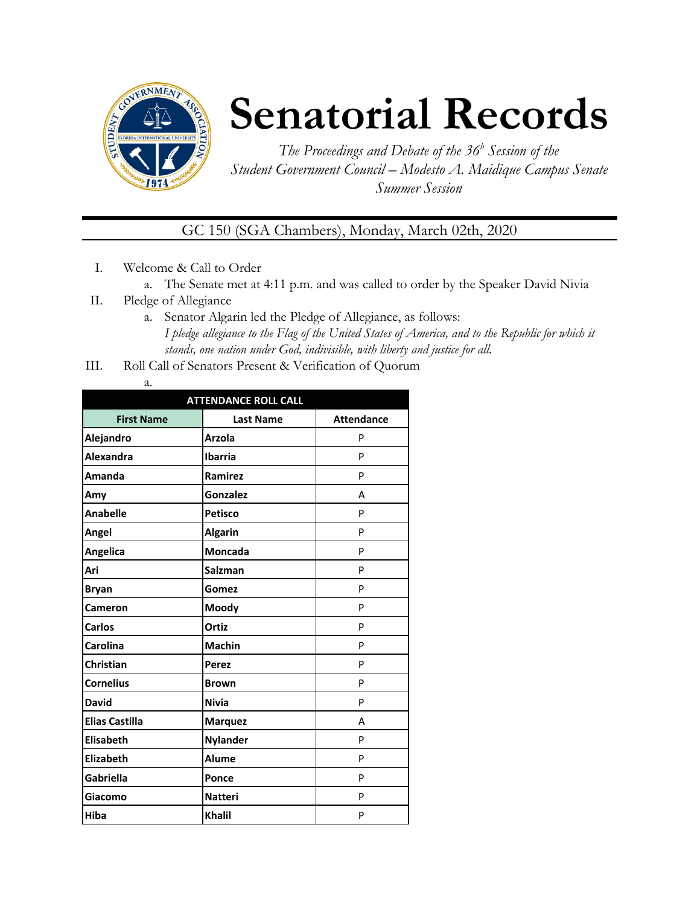

## **Senatorial Records**

*The Proceedings and Debate of the 36 <sup>h</sup> Session of the Student Government Council – Modesto A. Maidique Campus Senate Summer Session*

GC 150 (SGA Chambers), Monday, March 02th, 2020

- I. Welcome & Call to Order
	- a. The Senate met at 4:11 p.m. and was called to order by the Speaker David Nivia
- II. Pledge of Allegiance
	- a. Senator Algarin led the Pledge of Allegiance, as follows: *I pledge allegiance to the Flag of the United States of America, and to the Republic for which it stands, one nation under God, indivisible, with liberty and justice for all.*
- III. Roll Call of Senators Present & Verification of Quorum

| . .<br>÷<br>۰. |
|----------------|

| <b>ATTENDANCE ROLL CALL</b> |                  |                   |  |  |
|-----------------------------|------------------|-------------------|--|--|
| <b>First Name</b>           | <b>Last Name</b> | <b>Attendance</b> |  |  |
| Alejandro                   | <b>Arzola</b>    | P                 |  |  |
| Alexandra                   | <b>Ibarria</b>   | P                 |  |  |
| Amanda                      | Ramirez          | P                 |  |  |
| Amy                         | Gonzalez         | А                 |  |  |
| <b>Anabelle</b>             | <b>Petisco</b>   | P                 |  |  |
| Angel                       | <b>Algarin</b>   | P                 |  |  |
| Angelica                    | <b>Moncada</b>   | P                 |  |  |
| Ari                         | <b>Salzman</b>   | P                 |  |  |
| <b>Bryan</b>                | Gomez            | P                 |  |  |
| Cameron                     | Moody            | P                 |  |  |
| <b>Carlos</b>               | Ortiz            | P                 |  |  |
| Carolina                    | <b>Machin</b>    | P                 |  |  |
| Christian                   | <b>Perez</b>     | P                 |  |  |
| <b>Cornelius</b>            | <b>Brown</b>     | P                 |  |  |
| <b>David</b>                | <b>Nivia</b>     | P                 |  |  |
| <b>Elias Castilla</b>       | <b>Marquez</b>   | А                 |  |  |
| <b>Elisabeth</b>            | <b>Nylander</b>  | P                 |  |  |
| <b>Elizabeth</b>            | <b>Alume</b>     | P                 |  |  |
| <b>Gabriella</b>            | Ponce            | P                 |  |  |
| Giacomo                     | <b>Natteri</b>   | P                 |  |  |
| Hiba                        | <b>Khalil</b>    | P                 |  |  |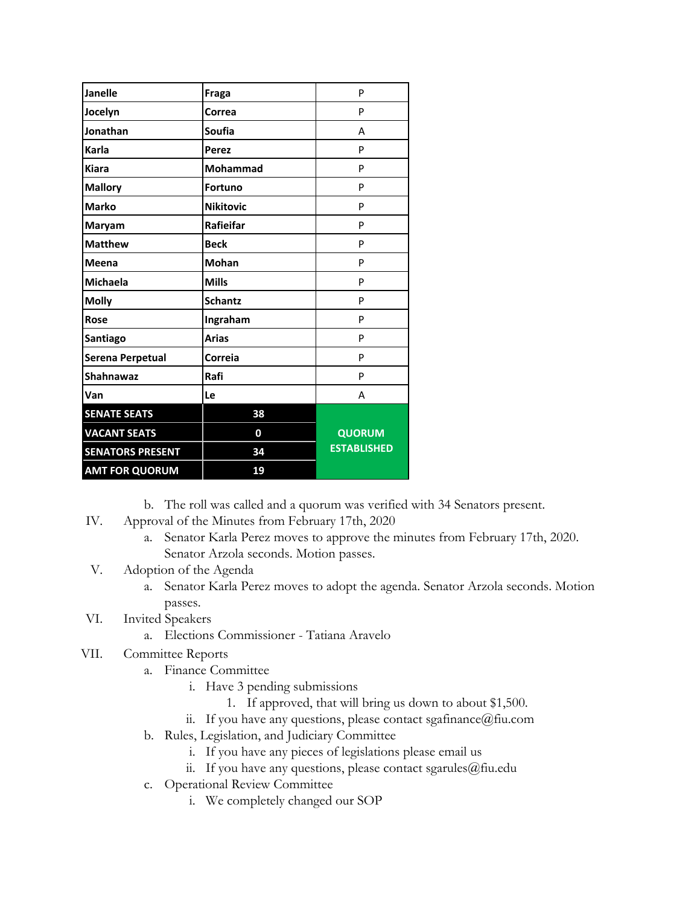| <b>Janelle</b>          | Fraga            | P                  |
|-------------------------|------------------|--------------------|
| Jocelyn                 | Correa           | P                  |
| Jonathan                | Soufia           | А                  |
| Karla                   | Perez            | P                  |
| <b>Kiara</b>            | Mohammad         | P                  |
| <b>Mallory</b>          | <b>Fortuno</b>   | P                  |
| <b>Marko</b>            | <b>Nikitovic</b> | P                  |
| Maryam                  | Rafieifar        | P                  |
| <b>Matthew</b>          | <b>Beck</b>      | P                  |
| <b>Meena</b>            | <b>Mohan</b>     | P                  |
| <b>Michaela</b>         | <b>Mills</b>     | P                  |
| <b>Molly</b>            | <b>Schantz</b>   | P                  |
| Rose                    | Ingraham         | P                  |
| Santiago                | <b>Arias</b>     | P                  |
| Serena Perpetual        | Correia          | P                  |
| Shahnawaz               | Rafi             | P                  |
| Van                     | Le               | A                  |
| <b>SENATE SEATS</b>     | 38               |                    |
| <b>VACANT SEATS</b>     | 0                | <b>QUORUM</b>      |
| <b>SENATORS PRESENT</b> | 34               | <b>ESTABLISHED</b> |
| <b>AMT FOR QUORUM</b>   | 19               |                    |

b. The roll was called and a quorum was verified with 34 Senators present.

- IV. Approval of the Minutes from February 17th, 2020
	- a. Senator Karla Perez moves to approve the minutes from February 17th, 2020. Senator Arzola seconds. Motion passes.
- V. Adoption of the Agenda
	- a. Senator Karla Perez moves to adopt the agenda. Senator Arzola seconds. Motion passes.
- VI. Invited Speakers
	- a. Elections Commissioner Tatiana Aravelo
- VII. Committee Reports
	- a. Finance Committee
		- i. Have 3 pending submissions
			- 1. If approved, that will bring us down to about \$1,500.
		- ii. If you have any questions, please contact sgafinance@fiu.com
	- b. Rules, Legislation, and Judiciary Committee
		- i. If you have any pieces of legislations please email us
		- ii. If you have any questions, please contact sgarules $@$ fiu.edu
	- c. Operational Review Committee
		- i. We completely changed our SOP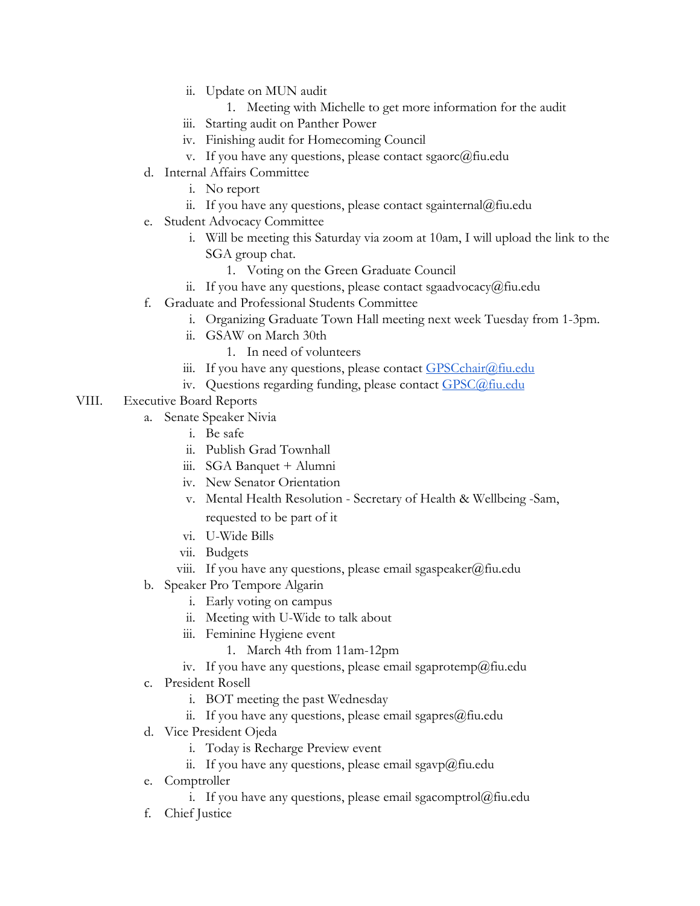- ii. Update on MUN audit
	- 1. Meeting with Michelle to get more information for the audit
- iii. Starting audit on Panther Power
- iv. Finishing audit for Homecoming Council
- v. If you have any questions, please contact sgaorc@fiu.edu
- d. Internal Affairs Committee
	- i. No report
	- ii. If you have any questions, please contact sgainternal@fiu.edu
- e. Student Advocacy Committee
	- i. Will be meeting this Saturday via zoom at 10am, I will upload the link to the SGA group chat.
		- 1. Voting on the Green Graduate Council
	- ii. If you have any questions, please contact sgaadvocacy@fiu.edu
- f. Graduate and Professional Students Committee
	- i. Organizing Graduate Town Hall meeting next week Tuesday from 1-3pm.
	- ii. GSAW on March 30th
		- 1. In need of volunteers
	- iii. If you have any questions, please contact  $GPSCchar(\partial f\hat{u} \cdot \partial d\hat{u})$
	- iv. Questions regarding funding, please contact [GPSC@fiu.edu](mailto:GPC@fiu.edu)
- VIII. Executive Board Reports
	- a. Senate Speaker Nivia
		- i. Be safe
		- ii. Publish Grad Townhall
		- iii. SGA Banquet + Alumni
		- iv. New Senator Orientation
		- v. Mental Health Resolution Secretary of Health & Wellbeing -Sam, requested to be part of it
		- vi. U-Wide Bills
		- vii. Budgets
		- viii. If you have any questions, please email sgaspeaker@fiu.edu
	- b. Speaker Pro Tempore Algarin
		- i. Early voting on campus
		- ii. Meeting with U-Wide to talk about
		- iii. Feminine Hygiene event
			- 1. March 4th from 11am-12pm
		- iv. If you have any questions, please email sgaprotemp@fiu.edu
	- c. President Rosell
		- i. BOT meeting the past Wednesday
		- ii. If you have any questions, please email sgapres@fiu.edu
	- d. Vice President Ojeda
		- i. Today is Recharge Preview event
		- ii. If you have any questions, please email sgavp@fiu.edu
	- e. Comptroller
		- i. If you have any questions, please email sgacomptrol $@$ fiu.edu
	- f. Chief Justice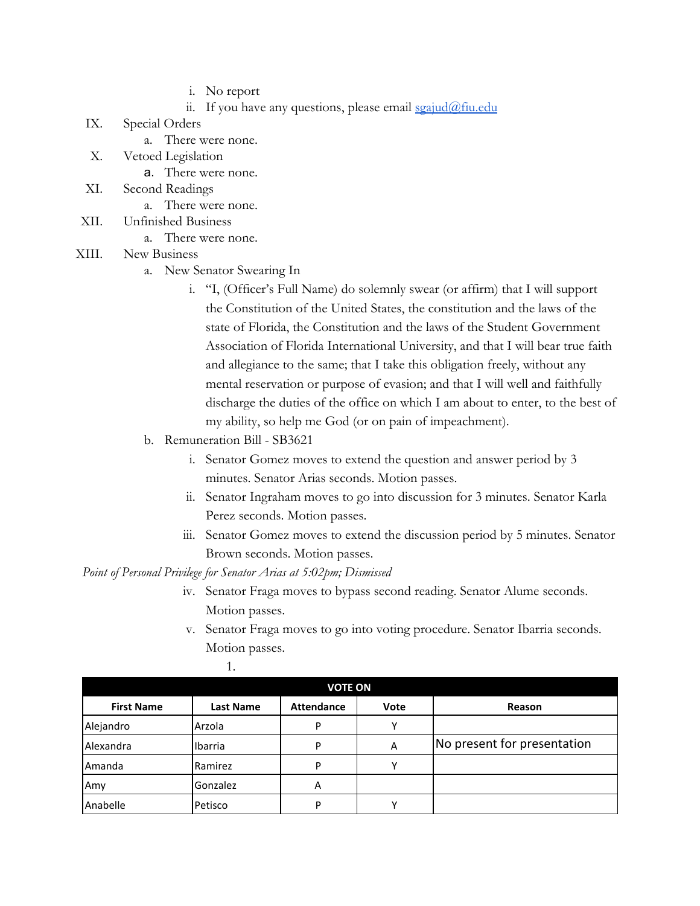- i. No report
- ii. If you have any questions, please email  $sgaiud@final$
- IX. Special Orders
	- a. There were none.
- X. Vetoed Legislation
	- a. There were none.
- XI. Second Readings
	- a. There were none.
- XII. Unfinished Business
	- a. There were none.
- XIII. New Business
	- a. New Senator Swearing In
		- i. "I, (Officer's Full Name) do solemnly swear (or affirm) that I will support the Constitution of the United States, the constitution and the laws of the state of Florida, the Constitution and the laws of the Student Government Association of Florida International University, and that I will bear true faith and allegiance to the same; that I take this obligation freely, without any mental reservation or purpose of evasion; and that I will well and faithfully discharge the duties of the office on which I am about to enter, to the best of my ability, so help me God (or on pain of impeachment).
	- b. Remuneration Bill SB3621
		- i. Senator Gomez moves to extend the question and answer period by 3 minutes. Senator Arias seconds. Motion passes.
		- ii. Senator Ingraham moves to go into discussion for 3 minutes. Senator Karla Perez seconds. Motion passes.
		- iii. Senator Gomez moves to extend the discussion period by 5 minutes. Senator Brown seconds. Motion passes.

*Point of Personal Privilege for Senator Arias at 5:02pm; Dismissed*

- iv. Senator Fraga moves to bypass second reading. Senator Alume seconds. Motion passes.
- v. Senator Fraga moves to go into voting procedure. Senator Ibarria seconds. Motion passes.

| <b>VOTE ON</b>    |                  |                   |      |                             |
|-------------------|------------------|-------------------|------|-----------------------------|
| <b>First Name</b> | <b>Last Name</b> | <b>Attendance</b> | Vote | Reason                      |
| Alejandro         | Arzola           | D                 | v    |                             |
| Alexandra         | Ibarria          | D                 | A    | No present for presentation |
| Amanda            | Ramirez          | P                 |      |                             |
| Amy               | Gonzalez         | A                 |      |                             |
| Anabelle          | Petisco          | D                 |      |                             |

1.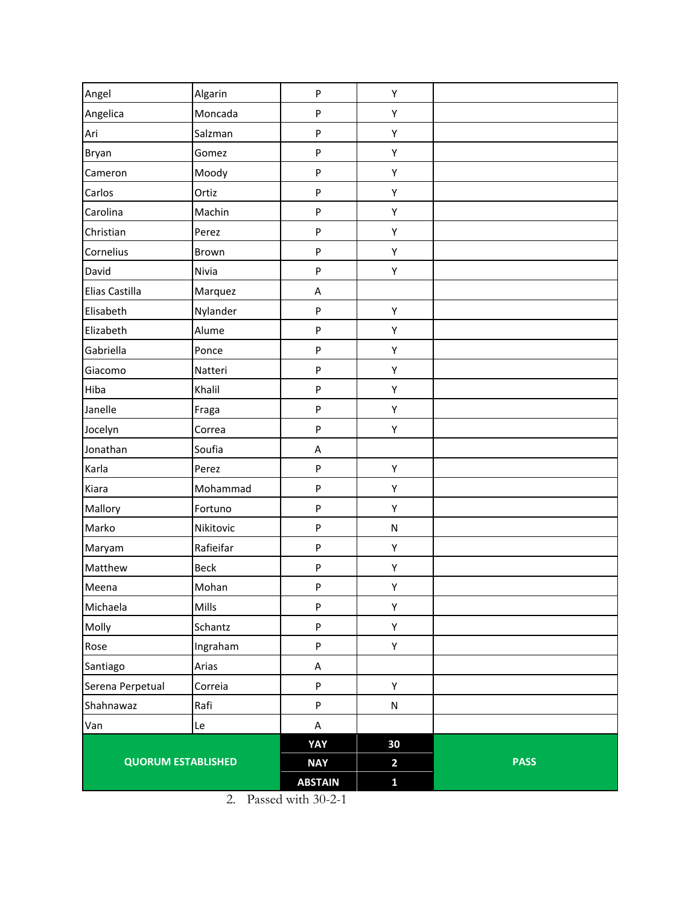|                           |                | <b>ABSTAIN</b> | $\mathbf{1}$ |             |
|---------------------------|----------------|----------------|--------------|-------------|
| <b>QUORUM ESTABLISHED</b> |                | <b>NAY</b>     | $\mathbf{2}$ | <b>PASS</b> |
|                           |                | YAY            | 30           |             |
| Van                       | Le             | $\mathsf A$    |              |             |
| Shahnawaz                 | Rafi           | P              | N            |             |
| Serena Perpetual          | Correia        | P              | Y            |             |
| Santiago                  | Arias          | $\sf A$        |              |             |
| Rose                      | Ingraham       | P              | Y            |             |
| Molly                     | Schantz        | P              | Y            |             |
| Michaela                  | Mills          | P              | Υ            |             |
| Meena                     | Mohan          | P              | Υ            |             |
| Matthew                   | <b>Beck</b>    | P              | Υ            |             |
| Maryam                    | Rafieifar      | P              | Υ            |             |
| Marko                     | Nikitovic      | P              | ${\sf N}$    |             |
| Mallory                   | Fortuno        | P              | Υ            |             |
| Kiara                     | Mohammad       | P              | Υ            |             |
| Karla                     | Perez          | P              | Υ            |             |
| Jonathan                  | Soufia         | A              |              |             |
| Jocelyn                   | Correa         | P              | Υ            |             |
| Janelle                   | Fraga          | P              | Υ            |             |
| Hiba                      | Khalil         | P              | Υ            |             |
| Giacomo                   | Natteri        | P              | Υ            |             |
| Gabriella                 | Ponce          | P              | Υ            |             |
| Elizabeth                 | Alume          | P              | Υ            |             |
| Elisabeth                 | Nylander       | P              | Υ            |             |
| Elias Castilla            | Marquez        | $\sf A$        |              |             |
| David                     | Nivia          | P              | Υ            |             |
| Cornelius                 | Brown          | P              | Υ            |             |
| Christian                 | Perez          | P              | Υ            |             |
| Carolina                  | Machin         | P              | Υ            |             |
| Cameron<br>Carlos         | Moody<br>Ortiz | P              | Υ            |             |
| Bryan                     | Gomez          | P              | Υ<br>Υ       |             |
| Ari                       | Salzman        | P<br>P         | Υ            |             |
| Angelica                  | Moncada        | P              | Υ            |             |
| Angel                     | Algarin        | P              | Υ            |             |
|                           |                |                |              |             |

<sup>2.</sup> Passed with 30-2-1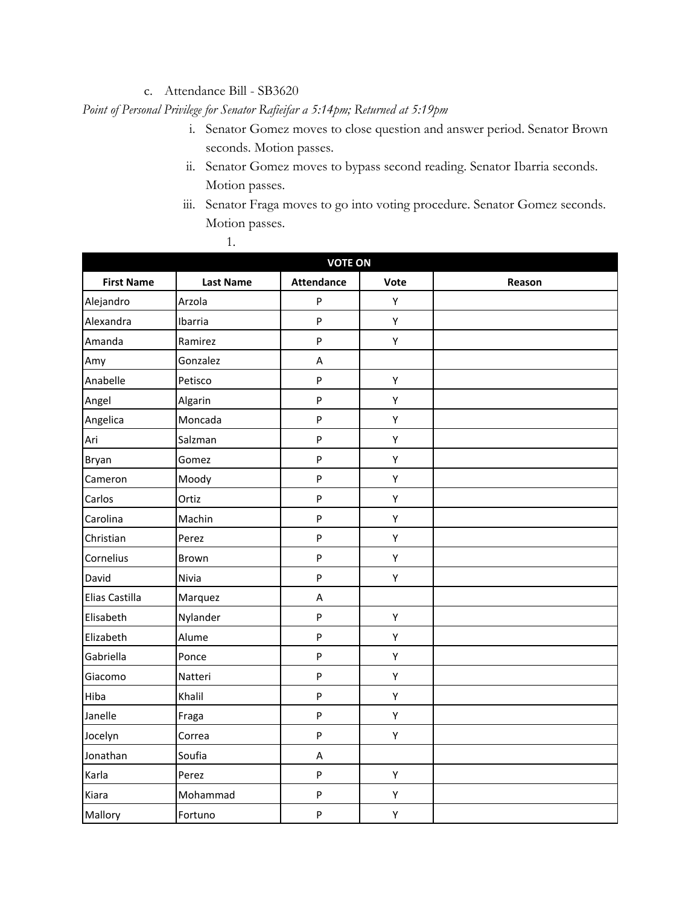## c. Attendance Bill - SB3620

*Point of Personal Privilege for Senator Rafieifar a 5:14pm; Returned at 5:19pm*

- i. Senator Gomez moves to close question and answer period. Senator Brown seconds. Motion passes.
- ii. Senator Gomez moves to bypass second reading. Senator Ibarria seconds. Motion passes.
- iii. Senator Fraga moves to go into voting procedure. Senator Gomez seconds. Motion passes.

| 1.                |                  |                   |      |        |
|-------------------|------------------|-------------------|------|--------|
| <b>VOTE ON</b>    |                  |                   |      |        |
| <b>First Name</b> | <b>Last Name</b> | <b>Attendance</b> | Vote | Reason |
| Alejandro         | Arzola           | ${\sf P}$         | Y    |        |
| Alexandra         | Ibarria          | ${\sf P}$         | Υ    |        |
| Amanda            | Ramirez          | ${\sf P}$         | Y    |        |
| Amy               | Gonzalez         | A                 |      |        |
| Anabelle          | Petisco          | ${\sf P}$         | Y    |        |
| Angel             | Algarin          | ${\sf P}$         | Υ    |        |
| Angelica          | Moncada          | ${\sf P}$         | Υ    |        |
| Ari               | Salzman          | ${\sf P}$         | Υ    |        |
| Bryan             | Gomez            | $\mathsf{P}$      | Y    |        |
| Cameron           | Moody            | ${\sf P}$         | Y    |        |
| Carlos            | Ortiz            | ${\sf P}$         | Υ    |        |
| Carolina          | Machin           | ${\sf P}$         | Υ    |        |
| Christian         | Perez            | ${\sf P}$         | Υ    |        |
| Cornelius         | Brown            | $\mathsf{P}$      | Y    |        |
| David             | Nivia            | P                 | Y    |        |
| Elias Castilla    | Marquez          | Α                 |      |        |
| Elisabeth         | Nylander         | ${\sf P}$         | Υ    |        |
| Elizabeth         | Alume            | P                 | Υ    |        |

Gabriella Ponce Protecture P Y Giacomo Natteri P Y Hiba Khalil P Y Janelle P | Y Jocelyn Correa P P Y

Karla Perez P Y Kiara | Mohammad | P | Y Mallory | Fortuno | P | Y

Jonathan Soufia | A